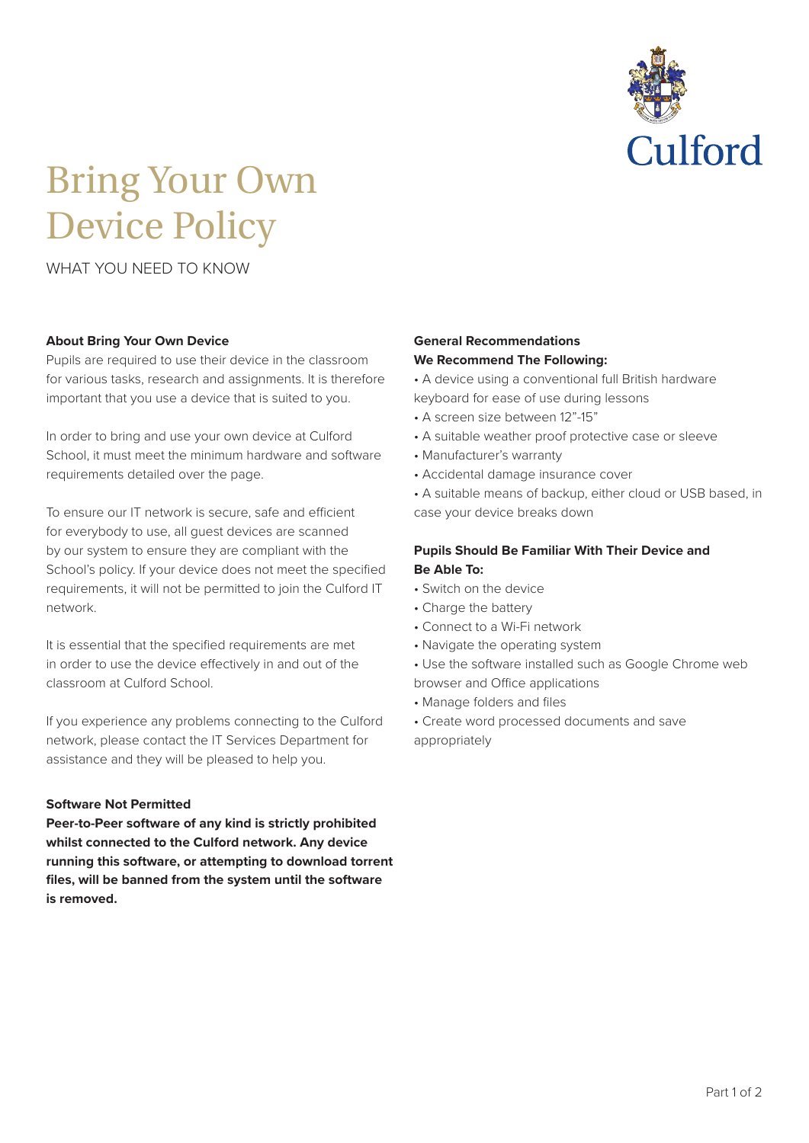

# Bring Your Own Device Policy

WHAT YOU NEED TO KNOW

### **About Bring Your Own Device**

Pupils are required to use their device in the classroom for various tasks, research and assignments. It is therefore important that you use a device that is suited to you.

In order to bring and use your own device at Culford School, it must meet the minimum hardware and software requirements detailed over the page.

To ensure our IT network is secure, safe and efficient for everybody to use, all guest devices are scanned by our system to ensure they are compliant with the School's policy. If your device does not meet the specified requirements, it will not be permitted to join the Culford IT network.

It is essential that the specified requirements are met in order to use the device effectively in and out of the classroom at Culford School.

If you experience any problems connecting to the Culford network, please contact the IT Services Department for assistance and they will be pleased to help you.

### **Software Not Permitted**

**Peer-to-Peer software of any kind is strictly prohibited whilst connected to the Culford network. Any device running this software, or attempting to download torrent files, will be banned from the system until the software is removed.**

#### **General Recommendations We Recommend The Following:**

• A device using a conventional full British hardware keyboard for ease of use during lessons

- A screen size between 12"-15"
- A suitable weather proof protective case or sleeve
- Manufacturer's warranty
- Accidental damage insurance cover

• A suitable means of backup, either cloud or USB based, in case your device breaks down

# **Pupils Should Be Familiar With Their Device and Be Able To:**

- Switch on the device
- Charge the battery
- Connect to a Wi-Fi network
- Navigate the operating system
- Use the software installed such as Google Chrome web browser and Office applications
- Manage folders and files
- Create word processed documents and save appropriately